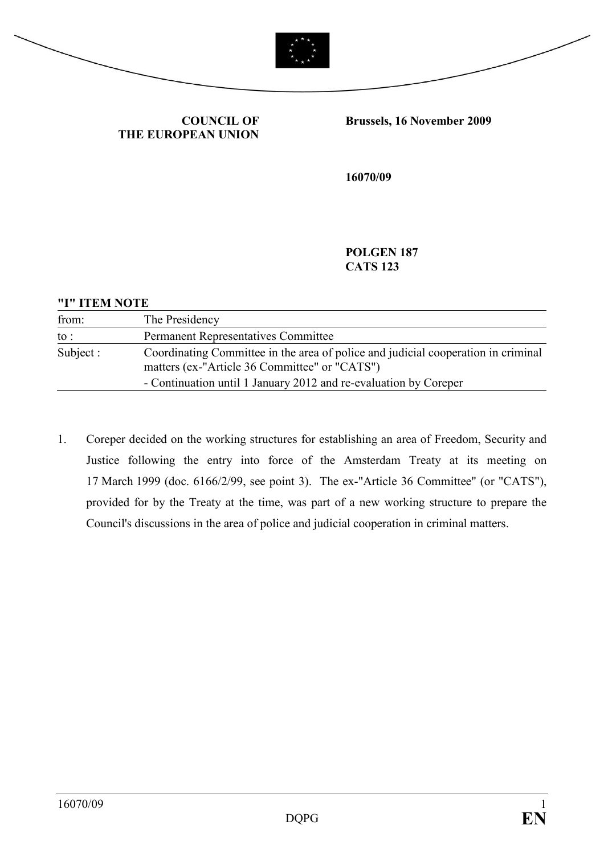



COUNCIL OF THE EUROPEAN UNION Brussels, 16 November 2009

16070/09

POLGEN 187 CATS 123

## "I" ITEM NOTE

| from:     | The Presidency                                                                                                                                                                                         |
|-----------|--------------------------------------------------------------------------------------------------------------------------------------------------------------------------------------------------------|
| to :      | <b>Permanent Representatives Committee</b>                                                                                                                                                             |
| Subject : | Coordinating Committee in the area of police and judicial cooperation in criminal<br>matters (ex-"Article 36 Committee" or "CATS")<br>- Continuation until 1 January 2012 and re-evaluation by Coreper |

1. Coreper decided on the working structures for establishing an area of Freedom, Security and Justice following the entry into force of the Amsterdam Treaty at its meeting on 17 March 1999 (doc. 6166/2/99, see point 3). The ex-"Article 36 Committee" (or "CATS"), provided for by the Treaty at the time, was part of a new working structure to prepare the Council's discussions in the area of police and judicial cooperation in criminal matters.